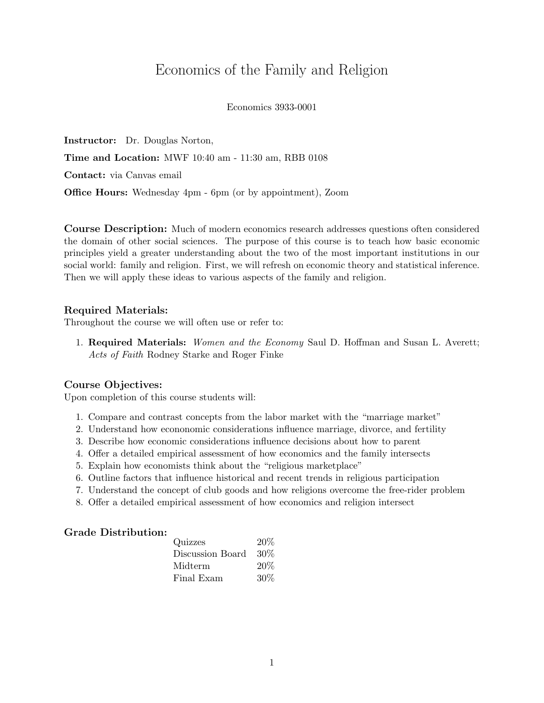## Economics of the Family and Religion

#### Economics 3933-0001

Instructor: Dr. Douglas Norton, Time and Location: MWF 10:40 am - 11:30 am, RBB 0108 Contact: via Canvas email Office Hours: Wednesday 4pm - 6pm (or by appointment), Zoom

Course Description: Much of modern economics research addresses questions often considered the domain of other social sciences. The purpose of this course is to teach how basic economic principles yield a greater understanding about the two of the most important institutions in our social world: family and religion. First, we will refresh on economic theory and statistical inference. Then we will apply these ideas to various aspects of the family and religion.

#### Required Materials:

Throughout the course we will often use or refer to:

1. Required Materials: Women and the Economy Saul D. Hoffman and Susan L. Averett; Acts of Faith Rodney Starke and Roger Finke

#### Course Objectives:

Upon completion of this course students will:

- 1. Compare and contrast concepts from the labor market with the "marriage market"
- 2. Understand how econonomic considerations influence marriage, divorce, and fertility
- 3. Describe how economic considerations influence decisions about how to parent
- 4. Offer a detailed empirical assessment of how economics and the family intersects
- 5. Explain how economists think about the "religious marketplace"
- 6. Outline factors that influence historical and recent trends in religious participation
- 7. Understand the concept of club goods and how religions overcome the free-rider problem
- 8. Offer a detailed empirical assessment of how economics and religion intersect

#### Grade Distribution:

| Quizzes          | 20% |
|------------------|-----|
| Discussion Board | 30% |
| Midterm          | 20% |
| Final Exam       | 30% |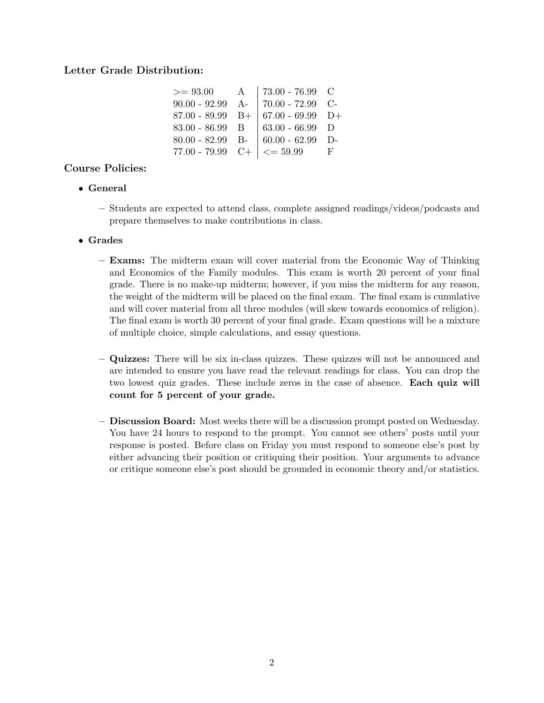## Letter Grade Distribution:

| $>= 93.00$                        | A | 73.00 - 76.99 $\,$ C                           |              |
|-----------------------------------|---|------------------------------------------------|--------------|
| $90.00 - 92.99$ A-                |   | $70.00 - 72.99$ C-                             |              |
| $87.00$ - $89.99\quad\mathrm{B}+$ |   | $  67.00 - 69.99 \text{ D+}$                   |              |
| $83.00 - 86.99$ B                 |   | $63.00 - 66.99$ D                              |              |
| $80.00 - 82.99$ B-                |   | $  60.00 - 62.99   D -$                        |              |
|                                   |   | 77.00 - 79.99 C+ $\vert \langle = 59.99 \vert$ | $\mathbf{F}$ |

## Course Policies:

### • General

– Students are expected to attend class, complete assigned readings/videos/podcasts and prepare themselves to make contributions in class.

### • Grades

- Exams: The midterm exam will cover material from the Economic Way of Thinking and Economics of the Family modules. This exam is worth 20 percent of your final grade. There is no make-up midterm; however, if you miss the midterm for any reason, the weight of the midterm will be placed on the final exam. The final exam is cumulative and will cover material from all three modules (will skew towards economics of religion). The final exam is worth 30 percent of your final grade. Exam questions will be a mixture of multiple choice, simple calculations, and essay questions.
- Quizzes: There will be six in-class quizzes. These quizzes will not be announced and are intended to ensure you have read the relevant readings for class. You can drop the two lowest quiz grades. These include zeros in the case of absence. Each quiz will count for 5 percent of your grade.
- Discussion Board: Most weeks there will be a discussion prompt posted on Wednesday. You have 24 hours to respond to the prompt. You cannot see others' posts until your response is posted. Before class on Friday you must respond to someone else's post by either advancing their position or critiquing their position. Your arguments to advance or critique someone else's post should be grounded in economic theory and/or statistics.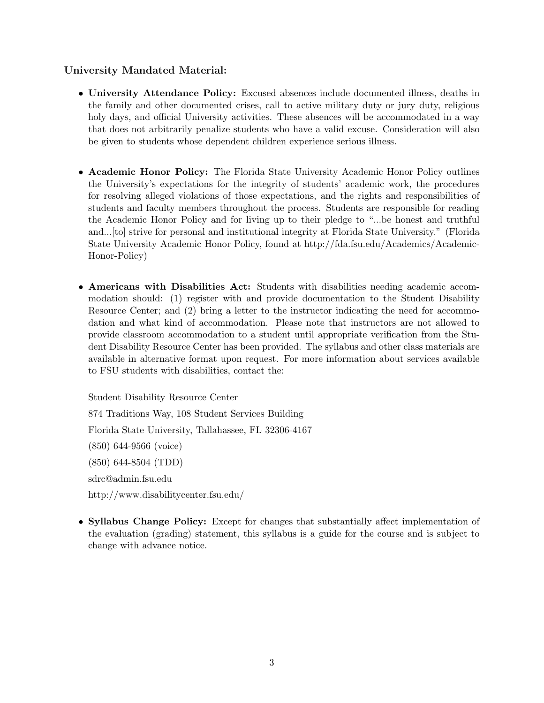## University Mandated Material:

- University Attendance Policy: Excused absences include documented illness, deaths in the family and other documented crises, call to active military duty or jury duty, religious holy days, and official University activities. These absences will be accommodated in a way that does not arbitrarily penalize students who have a valid excuse. Consideration will also be given to students whose dependent children experience serious illness.
- Academic Honor Policy: The Florida State University Academic Honor Policy outlines the University's expectations for the integrity of students' academic work, the procedures for resolving alleged violations of those expectations, and the rights and responsibilities of students and faculty members throughout the process. Students are responsible for reading the Academic Honor Policy and for living up to their pledge to "...be honest and truthful and...[to] strive for personal and institutional integrity at Florida State University." (Florida State University Academic Honor Policy, found at http://fda.fsu.edu/Academics/Academic-Honor-Policy)
- Americans with Disabilities Act: Students with disabilities needing academic accommodation should: (1) register with and provide documentation to the Student Disability Resource Center; and (2) bring a letter to the instructor indicating the need for accommodation and what kind of accommodation. Please note that instructors are not allowed to provide classroom accommodation to a student until appropriate verification from the Student Disability Resource Center has been provided. The syllabus and other class materials are available in alternative format upon request. For more information about services available to FSU students with disabilities, contact the:

Student Disability Resource Center 874 Traditions Way, 108 Student Services Building Florida State University, Tallahassee, FL 32306-4167 (850) 644-9566 (voice) (850) 644-8504 (TDD) sdrc@admin.fsu.edu http://www.disabilitycenter.fsu.edu/

• Syllabus Change Policy: Except for changes that substantially affect implementation of the evaluation (grading) statement, this syllabus is a guide for the course and is subject to change with advance notice.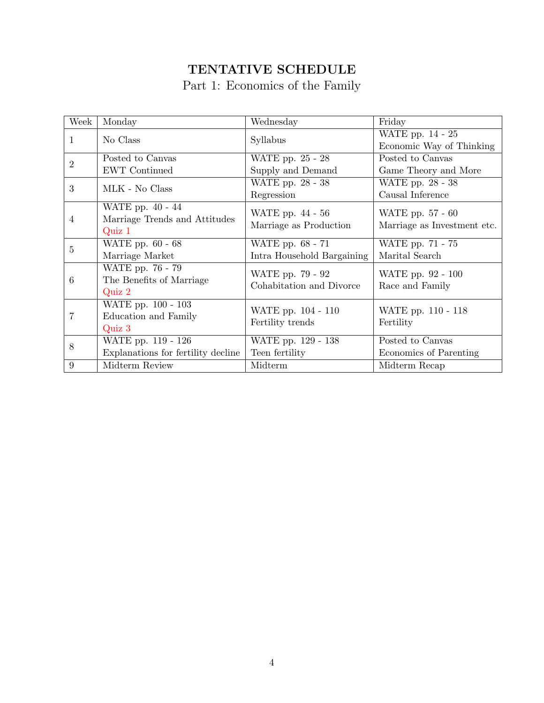# TENTATIVE SCHEDULE

## Part 1: Economics of the Family

| Week           | Monday                             | Wednesday                  | Friday                      |
|----------------|------------------------------------|----------------------------|-----------------------------|
| 1              | No Class                           | Syllabus                   | WATE pp. 14 - 25            |
|                |                                    |                            | Economic Way of Thinking    |
| $\overline{2}$ | Posted to Canvas                   | WATE pp. 25 - 28           | Posted to Canvas            |
|                | <b>EWT</b> Continued               | Supply and Demand          | Game Theory and More        |
| 3              |                                    | WATE pp. 28 - 38           | WATE pp. 28 - 38            |
|                | MLK - No Class                     | Regression                 | Causal Inference            |
|                | WATE pp. 40 - 44                   | WATE pp. 44 - 56           | WATE pp. 57 - 60            |
| 4              | Marriage Trends and Attitudes      |                            |                             |
|                | Quiz 1                             | Marriage as Production     | Marriage as Investment etc. |
| $\overline{5}$ | WATE pp. 60 - 68                   | WATE pp. 68 - 71           | WATE pp. 71 - 75            |
|                | Marriage Market                    | Intra Household Bargaining | Marital Search              |
|                | WATE pp. 76 - 79                   | WATE pp. 79 - 92           | WATE pp. 92 - 100           |
| 6              | The Benefits of Marriage           | Cohabitation and Divorce   |                             |
|                | $\operatorname{Quiz} 2$            |                            | Race and Family             |
|                | WATE pp. 100 - 103                 |                            |                             |
| 7              | Education and Family               | WATE pp. 104 - 110         | WATE pp. 110 - 118          |
|                | Quiz 3                             | Fertility trends           | Fertility                   |
| 8              | WATE pp. 119 - 126                 | WATE pp. 129 - 138         | Posted to Canvas            |
|                | Explanations for fertility decline | Teen fertility             | Economics of Parenting      |
| 9              | Midterm Review                     | Midterm                    | Midterm Recap               |